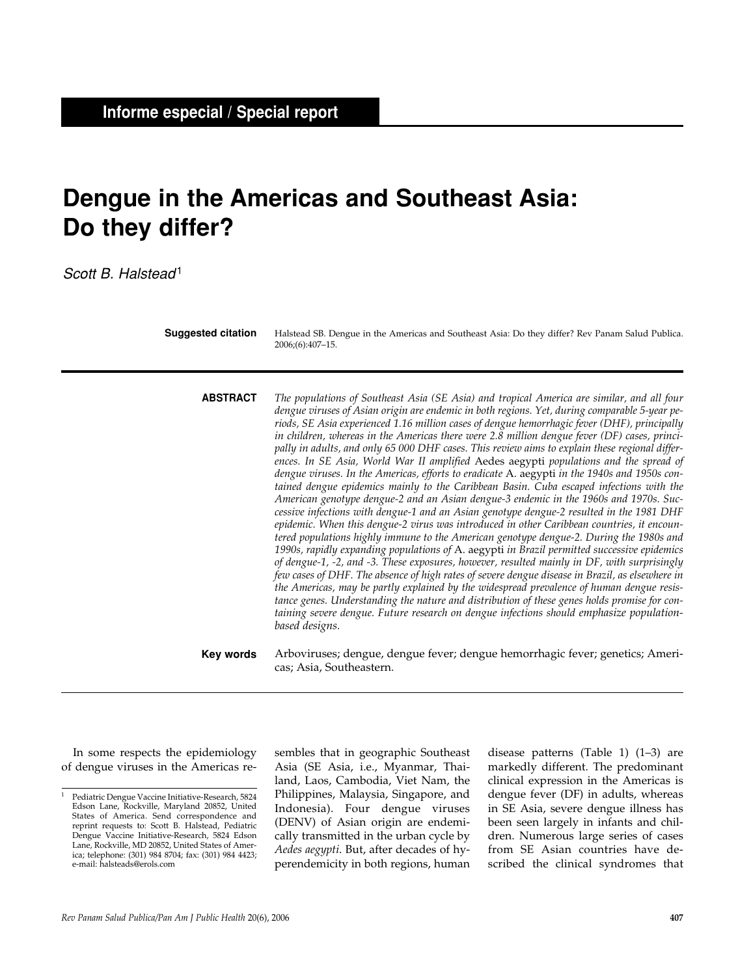# **Dengue in the Americas and Southeast Asia: Do they differ?**

# Scott B. Halstead<sup>1</sup>

Halstead SB. Dengue in the Americas and Southeast Asia: Do they differ? Rev Panam Salud Publica. 2006;(6):407–15. **Suggested citation**

*The populations of Southeast Asia (SE Asia) and tropical America are similar, and all four dengue viruses of Asian origin are endemic in both regions. Yet, during comparable 5-year periods, SE Asia experienced 1.16 million cases of dengue hemorrhagic fever (DHF), principally in children, whereas in the Americas there were 2.8 million dengue fever (DF) cases, principally in adults, and only 65 000 DHF cases. This review aims to explain these regional differences. In SE Asia, World War II amplified* Aedes aegypti *populations and the spread of dengue viruses. In the Americas, efforts to eradicate* A. aegypti *in the 1940s and 1950s contained dengue epidemics mainly to the Caribbean Basin. Cuba escaped infections with the American genotype dengue-2 and an Asian dengue-3 endemic in the 1960s and 1970s. Successive infections with dengue-1 and an Asian genotype dengue-2 resulted in the 1981 DHF epidemic. When this dengue-2 virus was introduced in other Caribbean countries, it encountered populations highly immune to the American genotype dengue-2. During the 1980s and 1990s, rapidly expanding populations of* A. aegypti *in Brazil permitted successive epidemics of dengue-1, -2, and -3. These exposures, however, resulted mainly in DF, with surprisingly few cases of DHF. The absence of high rates of severe dengue disease in Brazil, as elsewhere in the Americas, may be partly explained by the widespread prevalence of human dengue resistance genes. Understanding the nature and distribution of these genes holds promise for containing severe dengue. Future research on dengue infections should emphasize populationbased designs.*  **ABSTRACT**

Arboviruses; dengue, dengue fever; dengue hemorrhagic fever; genetics; Americas; Asia, Southeastern. **Key words**

In some respects the epidemiology of dengue viruses in the Americas resembles that in geographic Southeast Asia (SE Asia, i.e., Myanmar, Thailand, Laos, Cambodia, Viet Nam, the Philippines, Malaysia, Singapore, and Indonesia). Four dengue viruses (DENV) of Asian origin are endemically transmitted in the urban cycle by *Aedes aegypti*. But, after decades of hyperendemicity in both regions, human

disease patterns (Table 1) (1–3) are markedly different. The predominant clinical expression in the Americas is dengue fever (DF) in adults, whereas in SE Asia, severe dengue illness has been seen largely in infants and children. Numerous large series of cases from SE Asian countries have described the clinical syndromes that

<sup>1</sup> Pediatric Dengue Vaccine Initiative-Research, 5824 Edson Lane, Rockville, Maryland 20852, United States of America. Send correspondence and reprint requests to: Scott B. Halstead, Pediatric Dengue Vaccine Initiative-Research, 5824 Edson Lane, Rockville, MD 20852, United States of America; telephone: (301) 984 8704; fax: (301) 984 4423; e-mail: halsteads@erols.com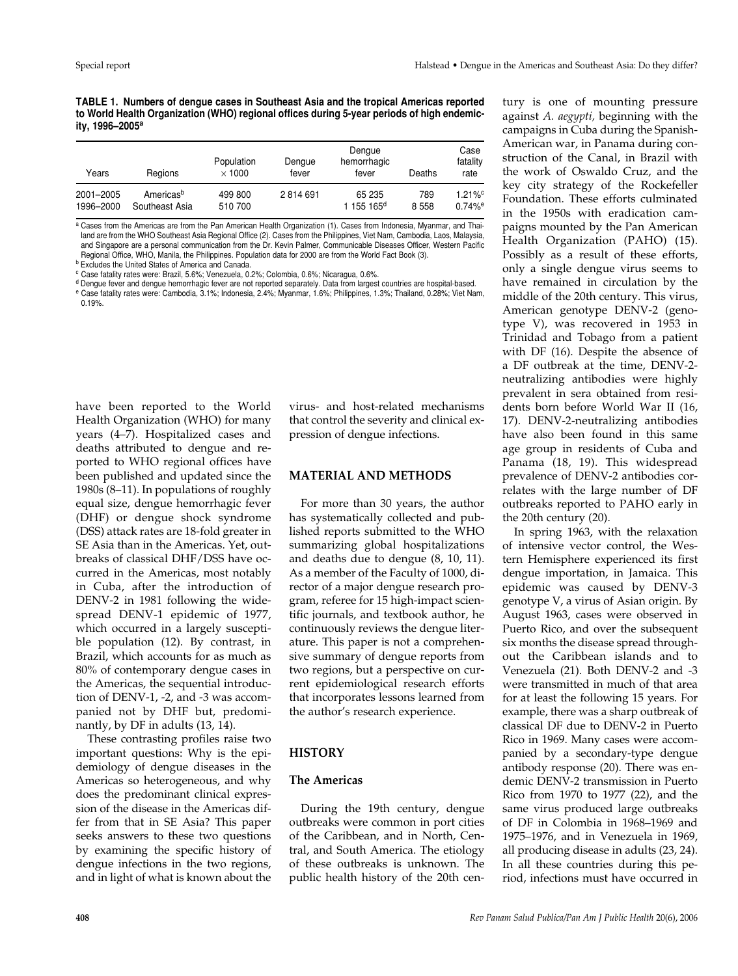**TABLE 1. Numbers of dengue cases in Southeast Asia and the tropical Americas reported to World Health Organization (WHO) regional offices during 5-year periods of high endemicity, 1996–2005a**

| Years     | Regions               | Population<br>$\times$ 1000 | Dengue<br>fever | Dengue<br>hemorrhagic<br>fever | Deaths | Case<br>fatality<br>rate |
|-----------|-----------------------|-----------------------------|-----------------|--------------------------------|--------|--------------------------|
| 2001-2005 | Americas <sup>b</sup> | 499 800                     | 2814691         | 65 235                         | 789    | $1.21\%$ <sup>c</sup>    |
| 1996-2000 | Southeast Asia        | 510 700                     |                 | 1 155 165 <sup>d</sup>         | 8558   | $0.74%$ <sup>e</sup>     |

a Cases from the Americas are from the Pan American Health Organization (1). Cases from Indonesia, Myanmar, and Thailand are from the WHO Southeast Asia Regional Office (2). Cases from the Philippines, Viet Nam, Cambodia, Laos, Malaysia, and Singapore are a personal communication from the Dr. Kevin Palmer, Communicable Diseases Officer, Western Pacific Regional Office, WHO, Manila, the Philippines. Population data for 2000 are from the World Fact Book (3).

<sup>b</sup> Excludes the United States of America and Canada.

<sup>c</sup> Case fatality rates were: Brazil, 5.6%; Venezuela, 0.2%; Colombia, 0.6%; Nicaragua, 0.6%.

<sup>d</sup> Dengue fever and dengue hemorrhagic fever are not reported separately. Data from largest countries are hospital-based. <sup>e</sup> Case fatality rates were: Cambodia, 3.1%; Indonesia, 2.4%; Myanmar, 1.6%; Philippines, 1.3%; Thailand, 0.28%; Viet Nam, 0.19%.

have been reported to the World Health Organization (WHO) for many years (4–7). Hospitalized cases and deaths attributed to dengue and reported to WHO regional offices have been published and updated since the 1980s (8–11). In populations of roughly equal size, dengue hemorrhagic fever (DHF) or dengue shock syndrome (DSS) attack rates are 18-fold greater in SE Asia than in the Americas. Yet, outbreaks of classical DHF/DSS have occurred in the Americas, most notably in Cuba, after the introduction of DENV-2 in 1981 following the widespread DENV-1 epidemic of 1977, which occurred in a largely susceptible population (12). By contrast, in Brazil, which accounts for as much as 80% of contemporary dengue cases in the Americas, the sequential introduction of DENV-1, -2, and -3 was accompanied not by DHF but, predominantly, by DF in adults (13, 14).

These contrasting profiles raise two important questions: Why is the epidemiology of dengue diseases in the Americas so heterogeneous, and why does the predominant clinical expression of the disease in the Americas differ from that in SE Asia? This paper seeks answers to these two questions by examining the specific history of dengue infections in the two regions, and in light of what is known about the

virus- and host-related mechanisms that control the severity and clinical expression of dengue infections.

#### **MATERIAL AND METHODS**

For more than 30 years, the author has systematically collected and published reports submitted to the WHO summarizing global hospitalizations and deaths due to dengue (8, 10, 11). As a member of the Faculty of 1000, director of a major dengue research program, referee for 15 high-impact scientific journals, and textbook author, he continuously reviews the dengue literature. This paper is not a comprehensive summary of dengue reports from two regions, but a perspective on current epidemiological research efforts that incorporates lessons learned from the author's research experience.

#### **HISTORY**

#### **The Americas**

During the 19th century, dengue outbreaks were common in port cities of the Caribbean, and in North, Central, and South America. The etiology of these outbreaks is unknown. The public health history of the 20th century is one of mounting pressure against *A. aegypti,* beginning with the campaigns in Cuba during the Spanish-American war, in Panama during construction of the Canal, in Brazil with the work of Oswaldo Cruz, and the key city strategy of the Rockefeller Foundation. These efforts culminated in the 1950s with eradication campaigns mounted by the Pan American Health Organization (PAHO) (15). Possibly as a result of these efforts, only a single dengue virus seems to have remained in circulation by the middle of the 20th century. This virus, American genotype DENV-2 (genotype V), was recovered in 1953 in Trinidad and Tobago from a patient with DF (16). Despite the absence of a DF outbreak at the time, DENV-2 neutralizing antibodies were highly prevalent in sera obtained from residents born before World War II (16, 17). DENV-2-neutralizing antibodies have also been found in this same age group in residents of Cuba and Panama (18, 19). This widespread prevalence of DENV-2 antibodies correlates with the large number of DF outbreaks reported to PAHO early in the 20th century (20).

In spring 1963, with the relaxation of intensive vector control, the Western Hemisphere experienced its first dengue importation, in Jamaica. This epidemic was caused by DENV-3 genotype V, a virus of Asian origin. By August 1963, cases were observed in Puerto Rico, and over the subsequent six months the disease spread throughout the Caribbean islands and to Venezuela (21). Both DENV-2 and -3 were transmitted in much of that area for at least the following 15 years. For example, there was a sharp outbreak of classical DF due to DENV-2 in Puerto Rico in 1969. Many cases were accompanied by a secondary-type dengue antibody response (20). There was endemic DENV-2 transmission in Puerto Rico from 1970 to 1977 (22), and the same virus produced large outbreaks of DF in Colombia in 1968–1969 and 1975–1976, and in Venezuela in 1969, all producing disease in adults (23, 24). In all these countries during this period, infections must have occurred in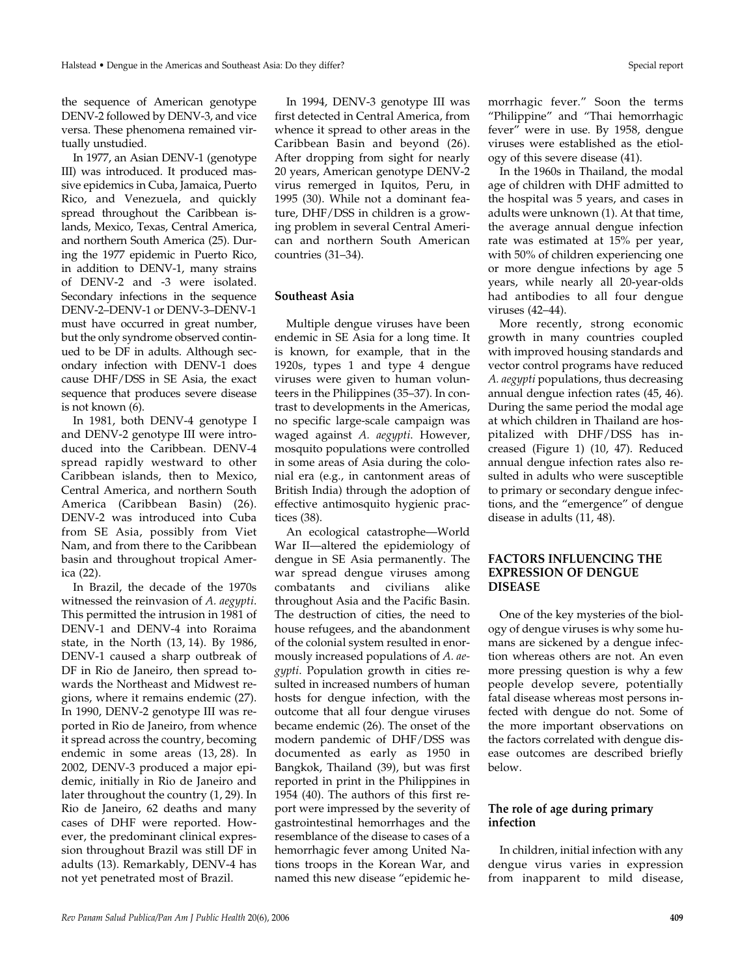the sequence of American genotype DENV-2 followed by DENV-3, and vice versa. These phenomena remained virtually unstudied.

In 1977, an Asian DENV-1 (genotype III) was introduced. It produced massive epidemics in Cuba, Jamaica, Puerto Rico, and Venezuela, and quickly spread throughout the Caribbean islands, Mexico, Texas, Central America, and northern South America (25). During the 1977 epidemic in Puerto Rico, in addition to DENV-1, many strains of DENV-2 and -3 were isolated. Secondary infections in the sequence DENV-2–DENV-1 or DENV-3–DENV-1 must have occurred in great number, but the only syndrome observed continued to be DF in adults. Although secondary infection with DENV-1 does cause DHF/DSS in SE Asia, the exact sequence that produces severe disease is not known (6).

In 1981, both DENV-4 genotype I and DENV-2 genotype III were introduced into the Caribbean. DENV-4 spread rapidly westward to other Caribbean islands, then to Mexico, Central America, and northern South America (Caribbean Basin) (26). DENV-2 was introduced into Cuba from SE Asia, possibly from Viet Nam, and from there to the Caribbean basin and throughout tropical America (22).

In Brazil, the decade of the 1970s witnessed the reinvasion of *A. aegypti*. This permitted the intrusion in 1981 of DENV-1 and DENV-4 into Roraima state, in the North (13, 14). By 1986, DENV-1 caused a sharp outbreak of DF in Rio de Janeiro, then spread towards the Northeast and Midwest regions, where it remains endemic (27). In 1990, DENV-2 genotype III was reported in Rio de Janeiro, from whence it spread across the country, becoming endemic in some areas (13, 28). In 2002, DENV-3 produced a major epidemic, initially in Rio de Janeiro and later throughout the country (1, 29). In Rio de Janeiro, 62 deaths and many cases of DHF were reported. However, the predominant clinical expression throughout Brazil was still DF in adults (13). Remarkably, DENV-4 has not yet penetrated most of Brazil.

In 1994, DENV-3 genotype III was first detected in Central America, from whence it spread to other areas in the Caribbean Basin and beyond (26). After dropping from sight for nearly 20 years, American genotype DENV-2 virus remerged in Iquitos, Peru, in 1995 (30). While not a dominant feature, DHF/DSS in children is a growing problem in several Central American and northern South American countries (31–34).

#### **Southeast Asia**

Multiple dengue viruses have been endemic in SE Asia for a long time. It is known, for example, that in the 1920s, types 1 and type 4 dengue viruses were given to human volunteers in the Philippines (35–37). In contrast to developments in the Americas, no specific large-scale campaign was waged against *A. aegypti*. However, mosquito populations were controlled in some areas of Asia during the colonial era (e.g., in cantonment areas of British India) through the adoption of effective antimosquito hygienic practices (38).

An ecological catastrophe—World War II—altered the epidemiology of dengue in SE Asia permanently. The war spread dengue viruses among combatants and civilians alike throughout Asia and the Pacific Basin. The destruction of cities, the need to house refugees, and the abandonment of the colonial system resulted in enormously increased populations of *A. aegypti*. Population growth in cities resulted in increased numbers of human hosts for dengue infection, with the outcome that all four dengue viruses became endemic (26). The onset of the modern pandemic of DHF/DSS was documented as early as 1950 in Bangkok, Thailand (39), but was first reported in print in the Philippines in 1954 (40). The authors of this first report were impressed by the severity of gastrointestinal hemorrhages and the resemblance of the disease to cases of a hemorrhagic fever among United Nations troops in the Korean War, and named this new disease "epidemic hemorrhagic fever." Soon the terms "Philippine" and "Thai hemorrhagic fever" were in use. By 1958, dengue viruses were established as the etiology of this severe disease (41).

In the 1960s in Thailand, the modal age of children with DHF admitted to the hospital was 5 years, and cases in adults were unknown (1). At that time, the average annual dengue infection rate was estimated at 15% per year, with 50% of children experiencing one or more dengue infections by age 5 years, while nearly all 20-year-olds had antibodies to all four dengue viruses (42–44).

More recently, strong economic growth in many countries coupled with improved housing standards and vector control programs have reduced *A. aegypti* populations, thus decreasing annual dengue infection rates (45, 46). During the same period the modal age at which children in Thailand are hospitalized with DHF/DSS has increased (Figure 1) (10, 47). Reduced annual dengue infection rates also resulted in adults who were susceptible to primary or secondary dengue infections, and the "emergence" of dengue disease in adults (11, 48).

#### **FACTORS INFLUENCING THE EXPRESSION OF DENGUE DISEASE**

One of the key mysteries of the biology of dengue viruses is why some humans are sickened by a dengue infection whereas others are not. An even more pressing question is why a few people develop severe, potentially fatal disease whereas most persons infected with dengue do not. Some of the more important observations on the factors correlated with dengue disease outcomes are described briefly below.

#### **The role of age during primary infection**

In children, initial infection with any dengue virus varies in expression from inapparent to mild disease,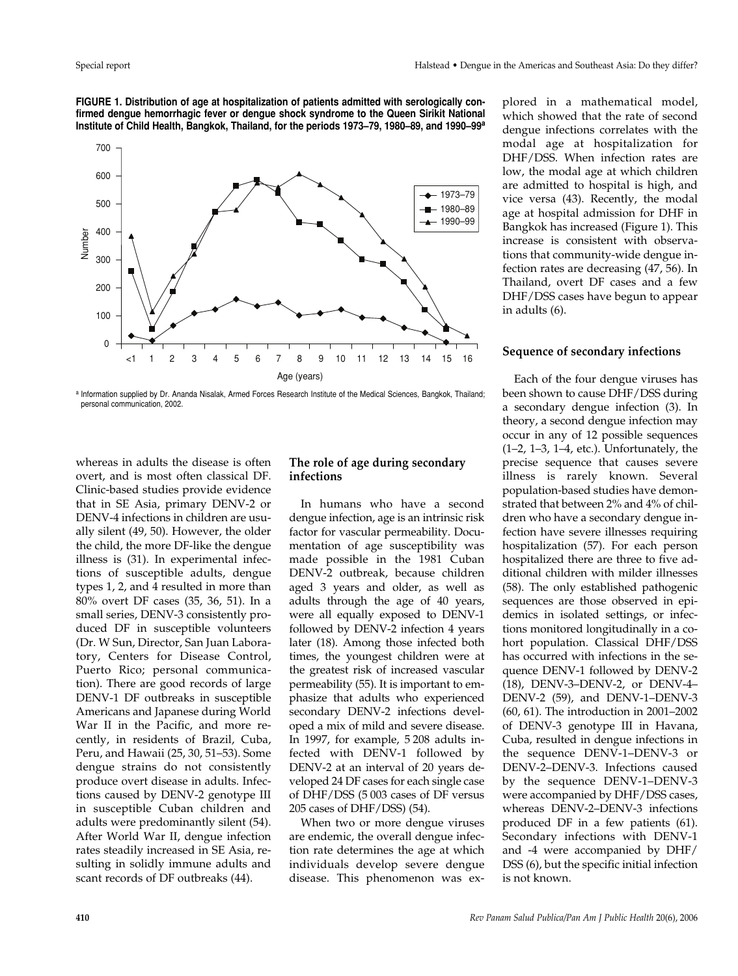**FIGURE 1. Distribution of age at hospitalization of patients admitted with serologically confirmed dengue hemorrhagic fever or dengue shock syndrome to the Queen Sirikit National Institute of Child Health, Bangkok, Thailand, for the periods 1973–79, 1980–89, and 1990–99a**



a Information supplied by Dr. Ananda Nisalak, Armed Forces Research Institute of the Medical Sciences, Bangkok, Thailand; personal communication, 2002.

whereas in adults the disease is often overt, and is most often classical DF. Clinic-based studies provide evidence that in SE Asia, primary DENV-2 or DENV-4 infections in children are usually silent (49, 50). However, the older the child, the more DF-like the dengue illness is (31). In experimental infections of susceptible adults, dengue types 1, 2, and 4 resulted in more than 80% overt DF cases (35, 36, 51). In a small series, DENV-3 consistently produced DF in susceptible volunteers (Dr. W Sun, Director, San Juan Laboratory, Centers for Disease Control, Puerto Rico; personal communication). There are good records of large DENV-1 DF outbreaks in susceptible Americans and Japanese during World War II in the Pacific, and more recently, in residents of Brazil, Cuba, Peru, and Hawaii (25, 30, 51–53). Some dengue strains do not consistently produce overt disease in adults. Infections caused by DENV-2 genotype III in susceptible Cuban children and adults were predominantly silent (54). After World War II, dengue infection rates steadily increased in SE Asia, resulting in solidly immune adults and scant records of DF outbreaks (44).

#### **The role of age during secondary infections**

In humans who have a second dengue infection, age is an intrinsic risk factor for vascular permeability. Documentation of age susceptibility was made possible in the 1981 Cuban DENV-2 outbreak, because children aged 3 years and older, as well as adults through the age of 40 years, were all equally exposed to DENV-1 followed by DENV-2 infection 4 years later (18). Among those infected both times, the youngest children were at the greatest risk of increased vascular permeability (55). It is important to emphasize that adults who experienced secondary DENV-2 infections developed a mix of mild and severe disease. In 1997, for example, 5 208 adults infected with DENV-1 followed by DENV-2 at an interval of 20 years developed 24 DF cases for each single case of DHF/DSS (5 003 cases of DF versus 205 cases of DHF/DSS) (54).

When two or more dengue viruses are endemic, the overall dengue infection rate determines the age at which individuals develop severe dengue disease. This phenomenon was explored in a mathematical model, which showed that the rate of second dengue infections correlates with the modal age at hospitalization for DHF/DSS. When infection rates are low, the modal age at which children are admitted to hospital is high, and vice versa (43). Recently, the modal age at hospital admission for DHF in Bangkok has increased (Figure 1). This increase is consistent with observations that community-wide dengue infection rates are decreasing (47, 56). In Thailand, overt DF cases and a few DHF/DSS cases have begun to appear in adults (6).

#### **Sequence of secondary infections**

Each of the four dengue viruses has been shown to cause DHF/DSS during a secondary dengue infection (3). In theory, a second dengue infection may occur in any of 12 possible sequences (1–2, 1–3, 1–4, etc.). Unfortunately, the precise sequence that causes severe illness is rarely known. Several population-based studies have demonstrated that between 2% and 4% of children who have a secondary dengue infection have severe illnesses requiring hospitalization (57). For each person hospitalized there are three to five additional children with milder illnesses (58). The only established pathogenic sequences are those observed in epidemics in isolated settings, or infections monitored longitudinally in a cohort population. Classical DHF/DSS has occurred with infections in the sequence DENV-1 followed by DENV-2 (18), DENV-3–DENV-2, or DENV-4– DENV-2 (59), and DENV-1–DENV-3 (60, 61). The introduction in 2001–2002 of DENV-3 genotype III in Havana, Cuba, resulted in dengue infections in the sequence DENV-1–DENV-3 or DENV-2–DENV-3. Infections caused by the sequence DENV-1–DENV-3 were accompanied by DHF/DSS cases, whereas DENV-2–DENV-3 infections produced DF in a few patients (61). Secondary infections with DENV-1 and -4 were accompanied by DHF/ DSS (6), but the specific initial infection is not known.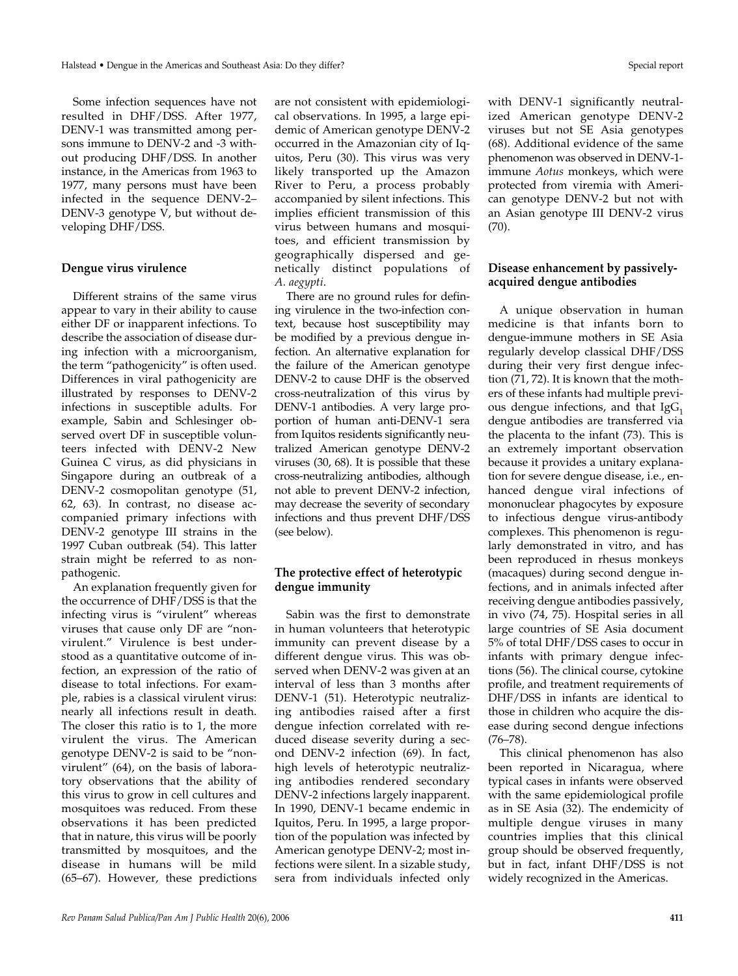Some infection sequences have not resulted in DHF/DSS. After 1977, DENV-1 was transmitted among persons immune to DENV-2 and -3 without producing DHF/DSS. In another instance, in the Americas from 1963 to 1977, many persons must have been infected in the sequence DENV-2– DENV-3 genotype V, but without developing DHF/DSS.

#### **Dengue virus virulence**

Different strains of the same virus appear to vary in their ability to cause either DF or inapparent infections. To describe the association of disease during infection with a microorganism, the term "pathogenicity" is often used. Differences in viral pathogenicity are illustrated by responses to DENV-2 infections in susceptible adults. For example, Sabin and Schlesinger observed overt DF in susceptible volunteers infected with DENV-2 New Guinea C virus, as did physicians in Singapore during an outbreak of a DENV-2 cosmopolitan genotype (51, 62, 63). In contrast, no disease accompanied primary infections with DENV-2 genotype III strains in the 1997 Cuban outbreak (54). This latter strain might be referred to as nonpathogenic.

An explanation frequently given for the occurrence of DHF/DSS is that the infecting virus is "virulent" whereas viruses that cause only DF are "nonvirulent." Virulence is best understood as a quantitative outcome of infection, an expression of the ratio of disease to total infections. For example, rabies is a classical virulent virus: nearly all infections result in death. The closer this ratio is to 1, the more virulent the virus. The American genotype DENV-2 is said to be "nonvirulent" (64), on the basis of laboratory observations that the ability of this virus to grow in cell cultures and mosquitoes was reduced. From these observations it has been predicted that in nature, this virus will be poorly transmitted by mosquitoes, and the disease in humans will be mild (65–67). However, these predictions

are not consistent with epidemiological observations. In 1995, a large epidemic of American genotype DENV-2 occurred in the Amazonian city of Iquitos, Peru (30). This virus was very likely transported up the Amazon River to Peru, a process probably accompanied by silent infections. This implies efficient transmission of this virus between humans and mosquitoes, and efficient transmission by geographically dispersed and genetically distinct populations of *A. aegypti*.

There are no ground rules for defining virulence in the two-infection context, because host susceptibility may be modified by a previous dengue infection. An alternative explanation for the failure of the American genotype DENV-2 to cause DHF is the observed cross-neutralization of this virus by DENV-1 antibodies. A very large proportion of human anti-DENV-1 sera from Iquitos residents significantly neutralized American genotype DENV-2 viruses (30, 68). It is possible that these cross-neutralizing antibodies, although not able to prevent DENV-2 infection, may decrease the severity of secondary infections and thus prevent DHF/DSS (see below).

# **The protective effect of heterotypic dengue immunity**

Sabin was the first to demonstrate in human volunteers that heterotypic immunity can prevent disease by a different dengue virus. This was observed when DENV-2 was given at an interval of less than 3 months after DENV-1 (51). Heterotypic neutralizing antibodies raised after a first dengue infection correlated with reduced disease severity during a second DENV-2 infection (69). In fact, high levels of heterotypic neutralizing antibodies rendered secondary DENV-2 infections largely inapparent. In 1990, DENV-1 became endemic in Iquitos, Peru. In 1995, a large proportion of the population was infected by American genotype DENV-2; most infections were silent. In a sizable study, sera from individuals infected only

with DENV-1 significantly neutralized American genotype DENV-2 viruses but not SE Asia genotypes (68). Additional evidence of the same phenomenon was observed in DENV-1 immune *Aotus* monkeys, which were protected from viremia with American genotype DENV-2 but not with an Asian genotype III DENV-2 virus (70).

# **Disease enhancement by passivelyacquired dengue antibodies**

A unique observation in human medicine is that infants born to dengue-immune mothers in SE Asia regularly develop classical DHF/DSS during their very first dengue infection (71, 72). It is known that the mothers of these infants had multiple previous dengue infections, and that  $IgG_1$ dengue antibodies are transferred via the placenta to the infant (73). This is an extremely important observation because it provides a unitary explanation for severe dengue disease, i.e., enhanced dengue viral infections of mononuclear phagocytes by exposure to infectious dengue virus-antibody complexes. This phenomenon is regularly demonstrated in vitro, and has been reproduced in rhesus monkeys (macaques) during second dengue infections, and in animals infected after receiving dengue antibodies passively, in vivo (74, 75). Hospital series in all large countries of SE Asia document 5% of total DHF/DSS cases to occur in infants with primary dengue infections (56). The clinical course, cytokine profile, and treatment requirements of DHF/DSS in infants are identical to those in children who acquire the disease during second dengue infections (76–78).

This clinical phenomenon has also been reported in Nicaragua, where typical cases in infants were observed with the same epidemiological profile as in SE Asia (32). The endemicity of multiple dengue viruses in many countries implies that this clinical group should be observed frequently, but in fact, infant DHF/DSS is not widely recognized in the Americas.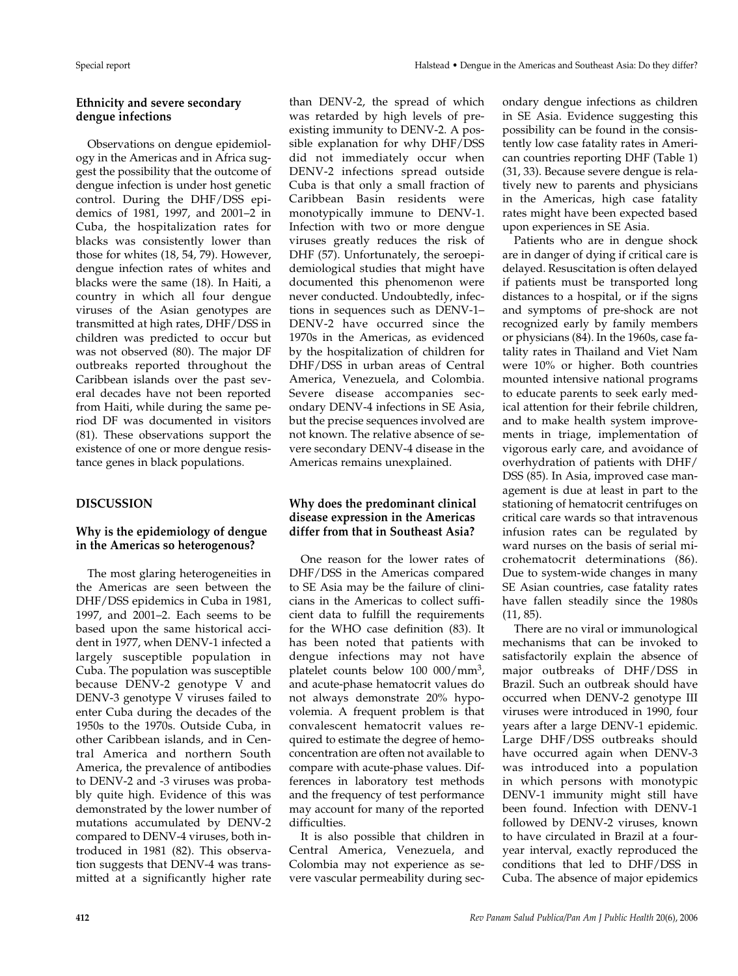# **Ethnicity and severe secondary dengue infections**

Observations on dengue epidemiology in the Americas and in Africa suggest the possibility that the outcome of dengue infection is under host genetic control. During the DHF/DSS epidemics of 1981, 1997, and 2001–2 in Cuba, the hospitalization rates for blacks was consistently lower than those for whites (18, 54, 79). However, dengue infection rates of whites and blacks were the same (18). In Haiti, a country in which all four dengue viruses of the Asian genotypes are transmitted at high rates, DHF/DSS in children was predicted to occur but was not observed (80). The major DF outbreaks reported throughout the Caribbean islands over the past several decades have not been reported from Haiti, while during the same period DF was documented in visitors (81). These observations support the existence of one or more dengue resistance genes in black populations.

# **DISCUSSION**

# **Why is the epidemiology of dengue in the Americas so heterogenous?**

The most glaring heterogeneities in the Americas are seen between the DHF/DSS epidemics in Cuba in 1981, 1997, and 2001–2. Each seems to be based upon the same historical accident in 1977, when DENV-1 infected a largely susceptible population in Cuba. The population was susceptible because DENV-2 genotype V and DENV-3 genotype V viruses failed to enter Cuba during the decades of the 1950s to the 1970s. Outside Cuba, in other Caribbean islands, and in Central America and northern South America, the prevalence of antibodies to DENV-2 and -3 viruses was probably quite high. Evidence of this was demonstrated by the lower number of mutations accumulated by DENV-2 compared to DENV-4 viruses, both introduced in 1981 (82). This observation suggests that DENV-4 was transmitted at a significantly higher rate

than DENV-2, the spread of which was retarded by high levels of preexisting immunity to DENV-2. A possible explanation for why DHF/DSS did not immediately occur when DENV-2 infections spread outside Cuba is that only a small fraction of Caribbean Basin residents were monotypically immune to DENV-1. Infection with two or more dengue viruses greatly reduces the risk of DHF (57). Unfortunately, the seroepidemiological studies that might have documented this phenomenon were never conducted. Undoubtedly, infections in sequences such as DENV-1– DENV-2 have occurred since the 1970s in the Americas, as evidenced by the hospitalization of children for DHF/DSS in urban areas of Central America, Venezuela, and Colombia. Severe disease accompanies secondary DENV-4 infections in SE Asia, but the precise sequences involved are not known. The relative absence of severe secondary DENV-4 disease in the Americas remains unexplained.

#### **Why does the predominant clinical disease expression in the Americas differ from that in Southeast Asia?**

One reason for the lower rates of DHF/DSS in the Americas compared to SE Asia may be the failure of clinicians in the Americas to collect sufficient data to fulfill the requirements for the WHO case definition (83). It has been noted that patients with dengue infections may not have platelet counts below 100 000/mm3, and acute-phase hematocrit values do not always demonstrate 20% hypovolemia. A frequent problem is that convalescent hematocrit values required to estimate the degree of hemoconcentration are often not available to compare with acute-phase values. Differences in laboratory test methods and the frequency of test performance may account for many of the reported difficulties.

It is also possible that children in Central America, Venezuela, and Colombia may not experience as severe vascular permeability during secondary dengue infections as children in SE Asia. Evidence suggesting this possibility can be found in the consistently low case fatality rates in American countries reporting DHF (Table 1) (31, 33). Because severe dengue is relatively new to parents and physicians in the Americas, high case fatality rates might have been expected based upon experiences in SE Asia.

Patients who are in dengue shock are in danger of dying if critical care is delayed. Resuscitation is often delayed if patients must be transported long distances to a hospital, or if the signs and symptoms of pre-shock are not recognized early by family members or physicians (84). In the 1960s, case fatality rates in Thailand and Viet Nam were 10% or higher. Both countries mounted intensive national programs to educate parents to seek early medical attention for their febrile children, and to make health system improvements in triage, implementation of vigorous early care, and avoidance of overhydration of patients with DHF/ DSS (85). In Asia, improved case management is due at least in part to the stationing of hematocrit centrifuges on critical care wards so that intravenous infusion rates can be regulated by ward nurses on the basis of serial microhematocrit determinations (86). Due to system-wide changes in many SE Asian countries, case fatality rates have fallen steadily since the 1980s (11, 85).

There are no viral or immunological mechanisms that can be invoked to satisfactorily explain the absence of major outbreaks of DHF/DSS in Brazil. Such an outbreak should have occurred when DENV-2 genotype III viruses were introduced in 1990, four years after a large DENV-1 epidemic. Large DHF/DSS outbreaks should have occurred again when DENV-3 was introduced into a population in which persons with monotypic DENV-1 immunity might still have been found. Infection with DENV-1 followed by DENV-2 viruses, known to have circulated in Brazil at a fouryear interval, exactly reproduced the conditions that led to DHF/DSS in Cuba. The absence of major epidemics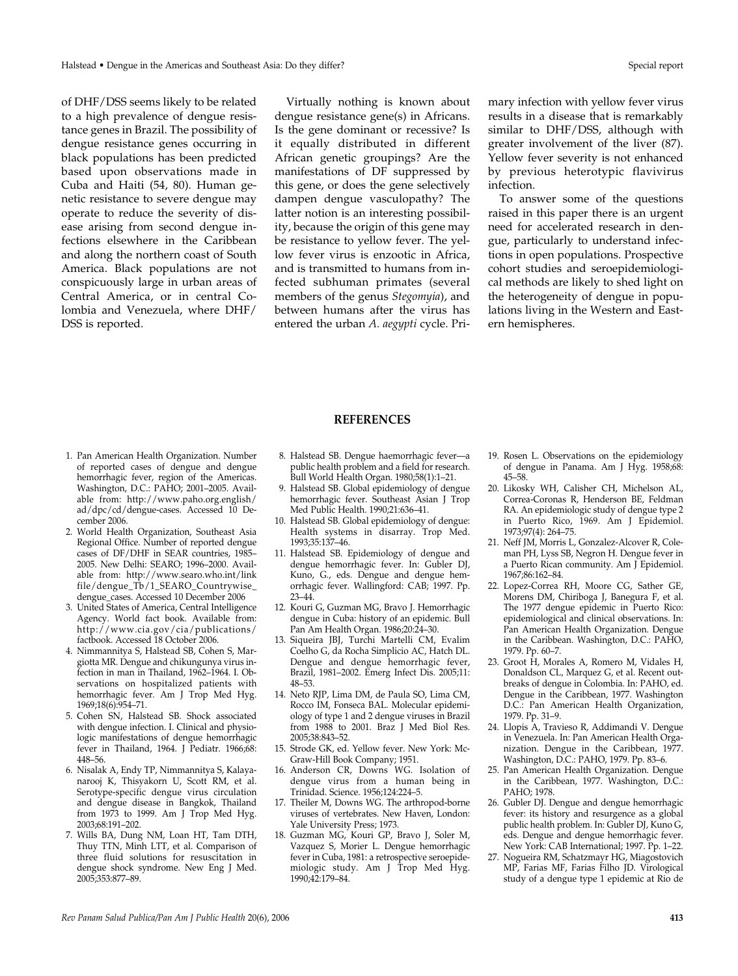of DHF/DSS seems likely to be related to a high prevalence of dengue resistance genes in Brazil. The possibility of dengue resistance genes occurring in black populations has been predicted based upon observations made in Cuba and Haiti (54, 80). Human genetic resistance to severe dengue may operate to reduce the severity of disease arising from second dengue infections elsewhere in the Caribbean and along the northern coast of South America. Black populations are not conspicuously large in urban areas of Central America, or in central Colombia and Venezuela, where DHF/ DSS is reported.

Virtually nothing is known about dengue resistance gene(s) in Africans. Is the gene dominant or recessive? Is it equally distributed in different African genetic groupings? Are the manifestations of DF suppressed by this gene, or does the gene selectively dampen dengue vasculopathy? The latter notion is an interesting possibility, because the origin of this gene may be resistance to yellow fever. The yellow fever virus is enzootic in Africa, and is transmitted to humans from infected subhuman primates (several members of the genus *Stegomyia*), and between humans after the virus has entered the urban *A. aegypti* cycle. Primary infection with yellow fever virus results in a disease that is remarkably similar to DHF/DSS, although with greater involvement of the liver (87). Yellow fever severity is not enhanced by previous heterotypic flavivirus infection.

To answer some of the questions raised in this paper there is an urgent need for accelerated research in dengue, particularly to understand infections in open populations. Prospective cohort studies and seroepidemiological methods are likely to shed light on the heterogeneity of dengue in populations living in the Western and Eastern hemispheres.

- 
- 1. Pan American Health Organization. Number of reported cases of dengue and dengue hemorrhagic fever, region of the Americas. Washington, D.C.: PAHO; 2001–2005. Available from: http://www.paho.org.english/ ad/dpc/cd/dengue-cases. Accessed 10 December 2006.
- 2. World Health Organization, Southeast Asia Regional Office. Number of reported dengue cases of DF/DHF in SEAR countries, 1985– 2005. New Delhi: SEARO; 1996–2000. Available from: http://www.searo.who.int/link file/dengue\_Tb/1\_SEARO\_Countrywise\_ dengue\_cases. Accessed 10 December 2006
- 3. United States of America, Central Intelligence Agency. World fact book. Available from: http://www.cia.gov/cia/publications/ factbook. Accessed 18 October 2006.
- 4. Nimmannitya S, Halstead SB, Cohen S, Margiotta MR. Dengue and chikungunya virus infection in man in Thailand, 1962–1964. I. Observations on hospitalized patients with hemorrhagic fever. Am J Trop Med Hyg. 1969;18(6):954–71.
- 5. Cohen SN, Halstead SB. Shock associated with dengue infection. I. Clinical and physiologic manifestations of dengue hemorrhagic fever in Thailand, 1964. J Pediatr. 1966;68: 448–56.
- 6. Nisalak A, Endy TP, Nimmannitya S, Kalayanarooj K, Thisyakorn U, Scott RM, et al. Serotype-specific dengue virus circulation and dengue disease in Bangkok, Thailand from 1973 to 1999. Am J Trop Med Hyg. 2003;68:191–202.
- 7. Wills BA, Dung NM, Loan HT, Tam DTH, Thuy TTN, Minh LTT, et al. Comparison of three fluid solutions for resuscitation in dengue shock syndrome. New Eng J Med. 2005;353:877–89.

8. Halstead SB. Dengue haemorrhagic fever—a public health problem and a field for research. Bull World Health Organ. 1980;58(1):1–21.

**REFERENCES**

- 9. Halstead SB. Global epidemiology of dengue hemorrhagic fever. Southeast Asian J Trop Med Public Health. 1990;21:636–41.
- 10. Halstead SB. Global epidemiology of dengue: Health systems in disarray. Trop Med. 1993;35:137–46.
- 11. Halstead SB. Epidemiology of dengue and dengue hemorrhagic fever. In: Gubler DJ, Kuno, G., eds. Dengue and dengue hemorrhagic fever. Wallingford: CAB; 1997. Pp. 23–44.
- 12. Kouri G, Guzman MG, Bravo J. Hemorrhagic dengue in Cuba: history of an epidemic. Bull Pan Am Health Organ. 1986;20:24–30.
- 13. Siqueira JBJ, Turchi Martelli CM, Evalim Coelho G, da Rocha Simplicio AC, Hatch DL. Dengue and dengue hemorrhagic fever, Brazil, 1981–2002. Emerg Infect Dis. 2005;11: 48–53.
- 14. Neto RJP, Lima DM, de Paula SO, Lima CM, Rocco IM, Fonseca BAL. Molecular epidemiology of type 1 and 2 dengue viruses in Brazil from 1988 to 2001. Braz J Med Biol Res. 2005;38:843–52.
- 15. Strode GK, ed. Yellow fever. New York: Mc-Graw-Hill Book Company; 1951.
- 16. Anderson CR, Downs WG. Isolation of dengue virus from a human being in Trinidad. Science. 1956;124:224–5.
- 17. Theiler M, Downs WG. The arthropod-borne viruses of vertebrates. New Haven, London: Yale University Press; 1973.
- 18. Guzman MG, Kouri GP, Bravo J, Soler M, Vazquez S, Morier L. Dengue hemorrhagic fever in Cuba, 1981: a retrospective seroepidemiologic study. Am J Trop Med Hyg. 1990;42:179–84.
- 19. Rosen L. Observations on the epidemiology of dengue in Panama. Am J Hyg. 1958;68: 45–58.
- 20. Likosky WH, Calisher CH, Michelson AL, Correa-Coronas R, Henderson BE, Feldman RA. An epidemiologic study of dengue type 2 in Puerto Rico, 1969. Am J Epidemiol. 1973;97(4): 264–75.
- 21. Neff JM, Morris L, Gonzalez-Alcover R, Coleman PH, Lyss SB, Negron H. Dengue fever in a Puerto Rican community. Am J Epidemiol. 1967;86:162–84.
- 22. Lopez-Correa RH, Moore CG, Sather GE, Morens DM, Chiriboga J, Banegura F, et al. The 1977 dengue epidemic in Puerto Rico: epidemiological and clinical observations. In: Pan American Health Organization. Dengue in the Caribbean. Washington, D.C.: PAHO, 1979. Pp. 60–7.
- 23. Groot H, Morales A, Romero M, Vidales H, Donaldson CL, Marquez G, et al. Recent outbreaks of dengue in Colombia. In: PAHO, ed. Dengue in the Caribbean, 1977. Washington D.C.: Pan American Health Organization, 1979. Pp. 31–9.
- 24. Llopis A, Travieso R, Addimandi V. Dengue in Venezuela. In: Pan American Health Organization. Dengue in the Caribbean, 1977. Washington, D.C.: PAHO, 1979. Pp. 83–6.
- 25. Pan American Health Organization. Dengue in the Caribbean, 1977. Washington, D.C.: PAHO; 1978.
- 26. Gubler DJ. Dengue and dengue hemorrhagic fever: its history and resurgence as a global public health problem. In: Gubler DJ, Kuno G, eds. Dengue and dengue hemorrhagic fever. New York: CAB International; 1997. Pp. 1–22.
- 27. Nogueira RM, Schatzmayr HG, Miagostovich MP, Farias MF, Farias Filho JD. Virological study of a dengue type 1 epidemic at Rio de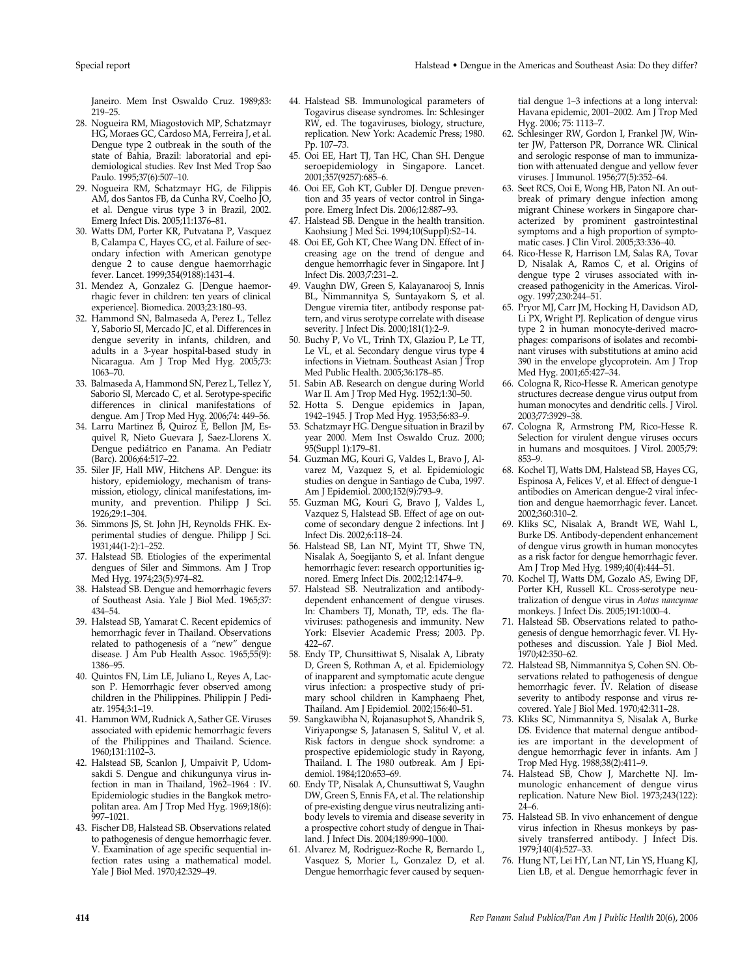Janeiro. Mem Inst Oswaldo Cruz. 1989;83: 219–25.

- 28. Nogueira RM, Miagostovich MP, Schatzmayr HG, Moraes GC, Cardoso MA, Ferreira J, et al. Dengue type 2 outbreak in the south of the state of Bahia, Brazil: laboratorial and epidemiological studies. Rev Inst Med Trop Sao Paulo. 1995;37(6):507–10.
- 29. Nogueira RM, Schatzmayr HG, de Filippis AM, dos Santos FB, da Cunha RV, Coelho JO, et al. Dengue virus type 3 in Brazil, 2002. Emerg Infect Dis. 2005;11:1376–81.
- 30. Watts DM, Porter KR, Putvatana P, Vasquez B, Calampa C, Hayes CG, et al. Failure of secondary infection with American genotype dengue 2 to cause dengue haemorrhagic fever. Lancet. 1999;354(9188):1431–4.
- 31. Mendez A, Gonzalez G. [Dengue haemorrhagic fever in children: ten years of clinical experience]. Biomedica. 2003;23:180–93.
- 32. Hammond SN, Balmaseda A, Perez L, Tellez Y, Saborio SI, Mercado JC, et al. Differences in dengue severity in infants, children, and adults in a 3-year hospital-based study in Nicaragua. Am J Trop Med Hyg. 2005;73: 1063–70.
- 33. Balmaseda A, Hammond SN, Perez L, Tellez Y, Saborio SI, Mercado C, et al. Serotype-specific differences in clinical manifestations of dengue. Am J Trop Med Hyg. 2006;74: 449–56.
- 34. Larru Martinez B, Quiroz E, Bellon JM, Esquivel R, Nieto Guevara J, Saez-Llorens X. Dengue pediátrico en Panama. An Pediatr (Barc). 2006;64:517–22.
- 35. Siler JF, Hall MW, Hitchens AP. Dengue: its history, epidemiology, mechanism of transmission, etiology, clinical manifestations, immunity, and prevention. Philipp J Sci. 1926;29:1–304.
- 36. Simmons JS, St. John JH, Reynolds FHK. Experimental studies of dengue. Philipp J Sci. 1931;44(1-2):1–252.
- 37. Halstead SB. Etiologies of the experimental dengues of Siler and Simmons. Am J Trop Med Hyg. 1974;23(5):974–82.
- 38. Halstead SB. Dengue and hemorrhagic fevers of Southeast Asia. Yale J Biol Med. 1965;37: 434–54.
- 39. Halstead SB, Yamarat C. Recent epidemics of hemorrhagic fever in Thailand. Observations related to pathogenesis of a "new" dengue disease. J Am Pub Health Assoc. 1965;55(9): 1386–95.
- 40. Quintos FN, Lim LE, Juliano L, Reyes A, Lacson P. Hemorrhagic fever observed among children in the Philippines. Philippin J Pediatr. 1954;3:1–19.
- 41. Hammon WM, Rudnick A, Sather GE. Viruses associated with epidemic hemorrhagic fevers of the Philippines and Thailand. Science. 1960;131:1102–3.
- 42. Halstead SB, Scanlon J, Umpaivit P, Udomsakdi S. Dengue and chikungunya virus infection in man in Thailand, 1962–1964 : IV. Epidemiologic studies in the Bangkok metropolitan area. Am J Trop Med Hyg. 1969;18(6): 997–1021.
- 43. Fischer DB, Halstead SB. Observations related to pathogenesis of dengue hemorrhagic fever. V. Examination of age specific sequential infection rates using a mathematical model. Yale J Biol Med. 1970;42:329–49.
- 44. Halstead SB. Immunological parameters of Togavirus disease syndromes. In: Schlesinger RW, ed. The togaviruses, biology, structure, replication. New York: Academic Press; 1980. Pp. 107–73.
- 45. Ooi EE, Hart TJ, Tan HC, Chan SH. Dengue seroepidemiology in Singapore. Lancet. 2001;357(9257):685–6.
- 46. Ooi EE, Goh KT, Gubler DJ. Dengue prevention and 35 years of vector control in Singapore. Emerg Infect Dis. 2006;12:887–93.
- Halstead SB. Dengue in the health transition. Kaohsiung J Med Sci. 1994;10(Suppl):S2–14.
- 48. Ooi EE, Goh KT, Chee Wang DN. Effect of increasing age on the trend of dengue and dengue hemorrhagic fever in Singapore. Int J Infect Dis. 2003;7:231–2.
- 49. Vaughn DW, Green S, Kalayanarooj S, Innis BL, Nimmannitya S, Suntayakorn S, et al. Dengue viremia titer, antibody response pattern, and virus serotype correlate with disease severity. J Infect Dis. 2000;181(1):2–9.
- 50. Buchy P, Vo VL, Trinh TX, Glaziou P, Le TT, Le VL, et al. Secondary dengue virus type 4 infections in Vietnam. Southeast Asian J Trop Med Public Health. 2005;36:178–85.
- 51. Sabin AB. Research on dengue during World War II. Am J Trop Med Hyg. 1952;1:30–50.
- 52. Hotta S. Dengue epidemics in Japan, 1942–1945. J Trop Med Hyg. 1953;56:83–9.
- 53. Schatzmayr HG. Dengue situation in Brazil by year 2000. Mem Inst Oswaldo Cruz. 2000; 95(Suppl 1):179–81.
- 54. Guzman MG, Kouri G, Valdes L, Bravo J, Alvarez M, Vazquez S, et al. Epidemiologic studies on dengue in Santiago de Cuba, 1997. Am J Epidemiol. 2000;152(9):793–9.
- 55. Guzman MG, Kouri G, Bravo J, Valdes L, Vazquez S, Halstead SB. Effect of age on outcome of secondary dengue 2 infections. Int J Infect Dis. 2002;6:118–24.
- 56. Halstead SB, Lan NT, Myint TT, Shwe TN, Nisalak A, Soegijanto S, et al. Infant dengue hemorrhagic fever: research opportunities ignored. Emerg Infect Dis. 2002;12:1474–9.
- 57. Halstead SB. Neutralization and antibodydependent enhancement of dengue viruses. In: Chambers TJ, Monath, TP, eds. The flaviviruses: pathogenesis and immunity. New York: Elsevier Academic Press; 2003. Pp. 422–67.
- 58. Endy TP, Chunsittiwat S, Nisalak A, Libraty D, Green S, Rothman A, et al. Epidemiology of inapparent and symptomatic acute dengue virus infection: a prospective study of primary school children in Kamphaeng Phet, Thailand. Am J Epidemiol. 2002;156:40–51.
- 59. Sangkawibha N, Rojanasuphot S, Ahandrik S, Viriyapongse S, Jatanasen S, Salitul V, et al. Risk factors in dengue shock syndrome: a prospective epidemiologic study in Rayong, Thailand. I. The 1980 outbreak. Am J Epidemiol. 1984;120:653–69.
- 60. Endy TP, Nisalak A, Chunsuttiwat S, Vaughn DW, Green S, Ennis FA, et al. The relationship of pre-existing dengue virus neutralizing antibody levels to viremia and disease severity in a prospective cohort study of dengue in Thailand. J Infect Dis. 2004;189:990–1000.
- 61. Alvarez M, Rodriguez-Roche R, Bernardo L, Vasquez S, Morier L, Gonzalez D, et al. Dengue hemorrhagic fever caused by sequen-

tial dengue 1–3 infections at a long interval: Havana epidemic, 2001–2002. Am J Trop Med Hyg. 2006; 75: 1113–7.

- 62. Schlesinger RW, Gordon I, Frankel JW, Winter JW, Patterson PR, Dorrance WR. Clinical and serologic response of man to immunization with attenuated dengue and yellow fever viruses. J Immunol. 1956;77(5):352–64.
- Seet RCS, Ooi E, Wong HB, Paton NI. An outbreak of primary dengue infection among migrant Chinese workers in Singapore characterized by prominent gastrointestinal symptoms and a high proportion of symptomatic cases. J Clin Virol. 2005;33:336–40.
- 64. Rico-Hesse R, Harrison LM, Salas RA, Tovar D, Nisalak A, Ramos C, et al. Origins of dengue type 2 viruses associated with increased pathogenicity in the Americas. Virology. 1997;230:244–51.
- 65. Pryor MJ, Carr JM, Hocking H, Davidson AD, Li PX, Wright PJ. Replication of dengue virus type 2 in human monocyte-derived macrophages: comparisons of isolates and recombinant viruses with substitutions at amino acid 390 in the envelope glycoprotein. Am J Trop Med Hyg. 2001;65:427–34.
- 66. Cologna R, Rico-Hesse R. American genotype structures decrease dengue virus output from human monocytes and dendritic cells. J Virol. 2003;77:3929–38.
- 67. Cologna R, Armstrong PM, Rico-Hesse R. Selection for virulent dengue viruses occurs in humans and mosquitoes. J Virol. 2005;79: 853–9.
- 68. Kochel TJ, Watts DM, Halstead SB, Hayes CG, Espinosa A, Felices V, et al. Effect of dengue-1 antibodies on American dengue-2 viral infection and dengue haemorrhagic fever. Lancet. 2002;360:310–2.
- 69. Kliks SC, Nisalak A, Brandt WE, Wahl L, Burke DS. Antibody-dependent enhancement of dengue virus growth in human monocytes as a risk factor for dengue hemorrhagic fever. Am J Trop Med Hyg. 1989;40(4):444–51.
- 70. Kochel TJ, Watts DM, Gozalo AS, Ewing DF, Porter KH, Russell KL. Cross-serotype neutralization of dengue virus in *Aotus nancymae* monkeys. J Infect Dis. 2005;191:1000–4.
- 71. Halstead SB. Observations related to pathogenesis of dengue hemorrhagic fever. VI. Hypotheses and discussion. Yale J Biol Med. 1970;42:350–62.
- 72. Halstead SB, Nimmannitya S, Cohen SN. Observations related to pathogenesis of dengue hemorrhagic fever. IV. Relation of disease severity to antibody response and virus recovered. Yale J Biol Med. 1970;42:311–28.
- 73. Kliks SC, Nimmannitya S, Nisalak A, Burke DS. Evidence that maternal dengue antibodies are important in the development of dengue hemorrhagic fever in infants. Am J Trop Med Hyg. 1988;38(2):411–9.
- 74. Halstead SB, Chow J, Marchette NJ. Immunologic enhancement of dengue virus replication. Nature New Biol. 1973;243(122): 24–6.
- 75. Halstead SB. In vivo enhancement of dengue virus infection in Rhesus monkeys by passively transferred antibody. J Infect Dis. 1979;140(4):527–33.
- 76. Hung NT, Lei HY, Lan NT, Lin YS, Huang KJ, Lien LB, et al. Dengue hemorrhagic fever in